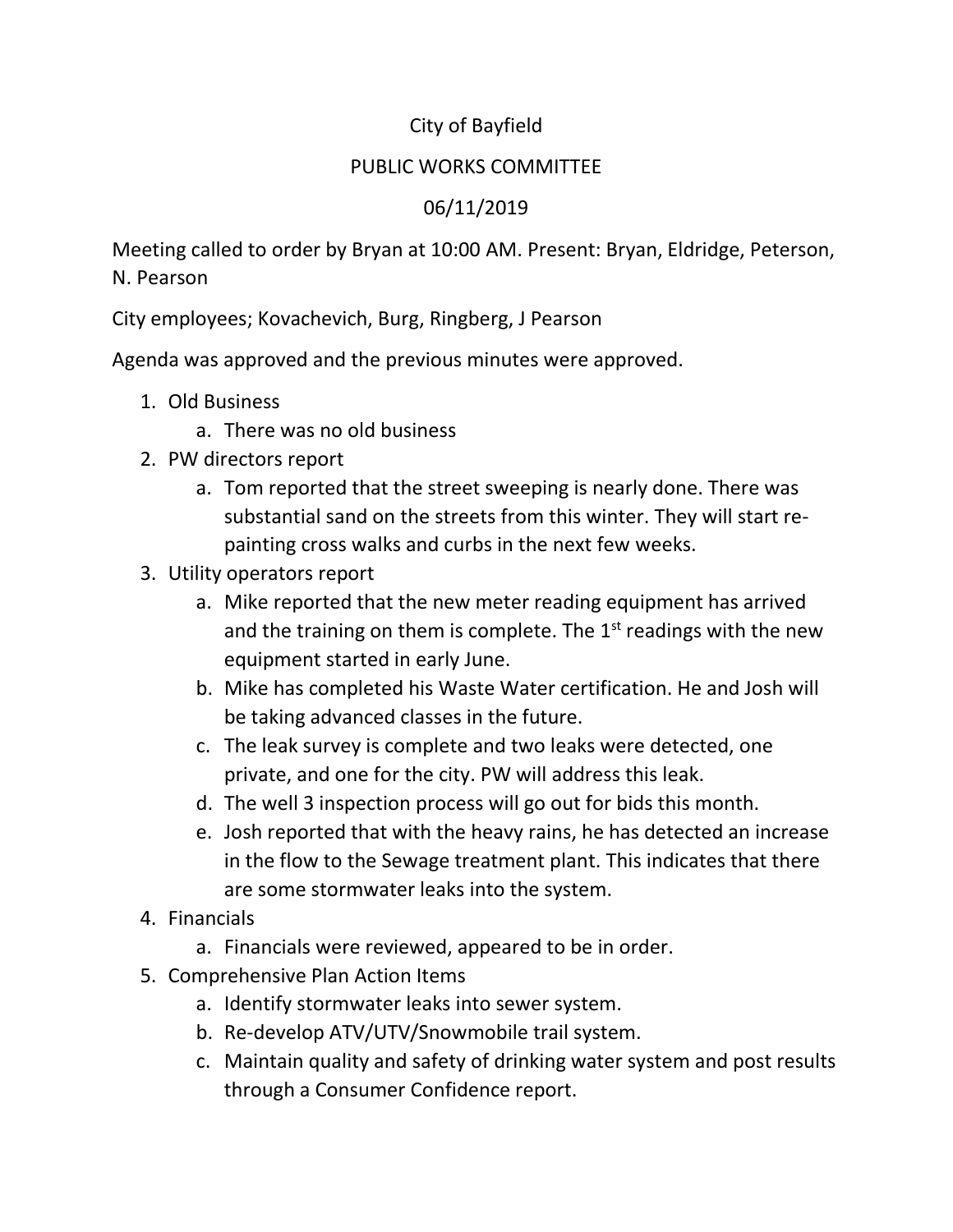## City of Bayfield

## PUBLIC WORKS COMMITTEE

## 06/11/2019

Meeting called to order by Bryan at 10:00 AM. Present: Bryan, Eldridge, Peterson, N. Pearson

City employees; Kovachevich, Burg, Ringberg, J Pearson

Agenda was approved and the previous minutes were approved.

- 1. Old Business
	- a. There was no old business
- 2. PW directors report
	- a. Tom reported that the street sweeping is nearly done. There was substantial sand on the streets from this winter. They will start repainting cross walks and curbs in the next few weeks.
- 3. Utility operators report
	- a. Mike reported that the new meter reading equipment has arrived and the training on them is complete. The  $1<sup>st</sup>$  readings with the new equipment started in early June.
	- b. Mike has completed his Waste Water certification. He and Josh will be taking advanced classes in the future.
	- c. The leak survey is complete and two leaks were detected, one private, and one for the city. PW will address this leak.
	- d. The well 3 inspection process will go out for bids this month.
	- e. Josh reported that with the heavy rains, he has detected an increase in the flow to the Sewage treatment plant. This indicates that there are some stormwater leaks into the system.
- 4. Financials
	- a. Financials were reviewed, appeared to be in order.
- 5. Comprehensive Plan Action Items
	- a. Identify stormwater leaks into sewer system.
	- b. Re-develop ATV/UTV/Snowmobile trail system.
	- c. Maintain quality and safety of drinking water system and post results through a Consumer Confidence report.